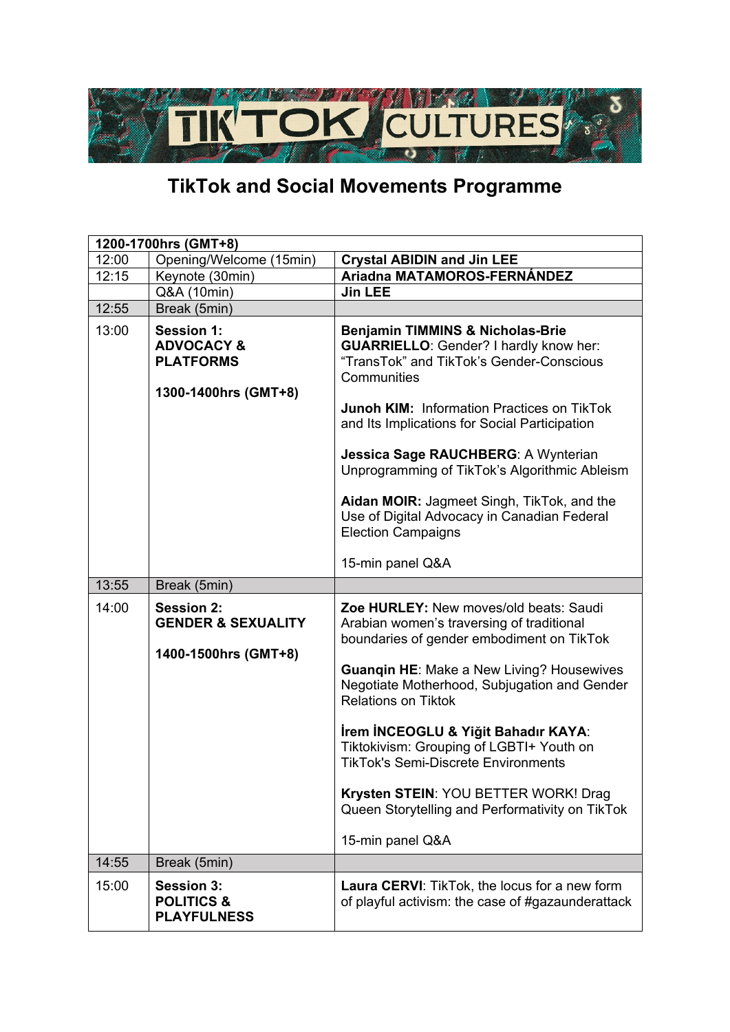

## **TikTok and Social Movements Programme**

| 1200-1700hrs (GMT+8) |                                                                                        |                                                                                                                                                                                                                                                                                                                                                                                                                                                    |  |
|----------------------|----------------------------------------------------------------------------------------|----------------------------------------------------------------------------------------------------------------------------------------------------------------------------------------------------------------------------------------------------------------------------------------------------------------------------------------------------------------------------------------------------------------------------------------------------|--|
| 12:00                | Opening/Welcome (15min)                                                                | <b>Crystal ABIDIN and Jin LEE</b>                                                                                                                                                                                                                                                                                                                                                                                                                  |  |
| 12:15                | Keynote (30min)                                                                        | Ariadna MATAMOROS-FERNÁNDEZ                                                                                                                                                                                                                                                                                                                                                                                                                        |  |
|                      | Q&A (10min)                                                                            | <b>Jin LEE</b>                                                                                                                                                                                                                                                                                                                                                                                                                                     |  |
| 12:55                | Break (5min)                                                                           |                                                                                                                                                                                                                                                                                                                                                                                                                                                    |  |
| 13:00                | <b>Session 1:</b><br><b>ADVOCACY &amp;</b><br><b>PLATFORMS</b><br>1300-1400hrs (GMT+8) | <b>Benjamin TIMMINS &amp; Nicholas-Brie</b><br><b>GUARRIELLO:</b> Gender? I hardly know her:<br>"TransTok" and TikTok's Gender-Conscious<br>Communities<br><b>Junoh KIM: Information Practices on TikTok</b><br>and Its Implications for Social Participation<br>Jessica Sage RAUCHBERG: A Wynterian<br>Unprogramming of TikTok's Algorithmic Ableism<br>Aidan MOIR: Jagmeet Singh, TikTok, and the<br>Use of Digital Advocacy in Canadian Federal |  |
|                      |                                                                                        | <b>Election Campaigns</b><br>15-min panel Q&A                                                                                                                                                                                                                                                                                                                                                                                                      |  |
| 13:55                | Break (5min)                                                                           |                                                                                                                                                                                                                                                                                                                                                                                                                                                    |  |
| 14:00                | <b>Session 2:</b><br><b>GENDER &amp; SEXUALITY</b><br>1400-1500hrs (GMT+8)             | Zoe HURLEY: New moves/old beats: Saudi<br>Arabian women's traversing of traditional<br>boundaries of gender embodiment on TikTok<br><b>Guanqin HE: Make a New Living? Housewives</b><br>Negotiate Motherhood, Subjugation and Gender<br><b>Relations on Tiktok</b>                                                                                                                                                                                 |  |
|                      |                                                                                        | İrem İNCEOGLU & Yiğit Bahadır KAYA:<br>Tiktokivism: Grouping of LGBTI+ Youth on<br><b>TikTok's Semi-Discrete Environments</b><br>Krysten STEIN: YOU BETTER WORK! Drag<br>Queen Storytelling and Performativity on TikTok<br>15-min panel Q&A                                                                                                                                                                                                       |  |
| 14:55                | Break (5min)                                                                           |                                                                                                                                                                                                                                                                                                                                                                                                                                                    |  |
| 15:00                | <b>Session 3:</b><br><b>POLITICS &amp;</b><br><b>PLAYFULNESS</b>                       | <b>Laura CERVI:</b> TikTok, the locus for a new form<br>of playful activism: the case of #gazaunderattack                                                                                                                                                                                                                                                                                                                                          |  |